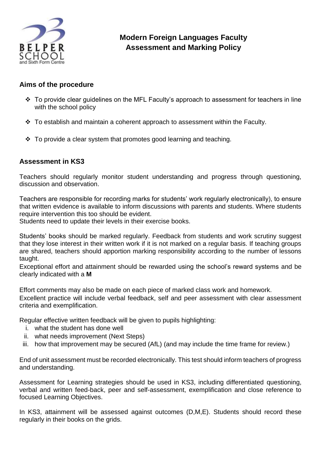

# **Modern Foreign Languages Faculty Assessment and Marking Policy**

### **Aims of the procedure**

- $\cdot \cdot$  To provide clear guidelines on the MFL Faculty's approach to assessment for teachers in line with the school policy
- $\cdot$  To establish and maintain a coherent approach to assessment within the Faculty.
- $\cdot$  To provide a clear system that promotes good learning and teaching.

### **Assessment in KS3**

Teachers should regularly monitor student understanding and progress through questioning, discussion and observation.

Teachers are responsible for recording marks for students' work regularly electronically), to ensure that written evidence is available to inform discussions with parents and students. Where students require intervention this too should be evident.

Students need to update their levels in their exercise books.

Students' books should be marked regularly. Feedback from students and work scrutiny suggest that they lose interest in their written work if it is not marked on a regular basis. If teaching groups are shared, teachers should apportion marking responsibility according to the number of lessons taught.

Exceptional effort and attainment should be rewarded using the school's reward systems and be clearly indicated with a **M**

Effort comments may also be made on each piece of marked class work and homework.

Excellent practice will include verbal feedback, self and peer assessment with clear assessment criteria and exemplification.

Regular effective written feedback will be given to pupils highlighting:

- i. what the student has done well
- ii. what needs improvement (Next Steps)
- iii. how that improvement may be secured (AfL) (and may include the time frame for review.)

End of unit assessment must be recorded electronically. This test should inform teachers of progress and understanding.

Assessment for Learning strategies should be used in KS3, including differentiated questioning, verbal and written feed-back, peer and self-assessment, exemplification and close reference to focused Learning Objectives.

In KS3, attainment will be assessed against outcomes (D,M,E). Students should record these regularly in their books on the grids.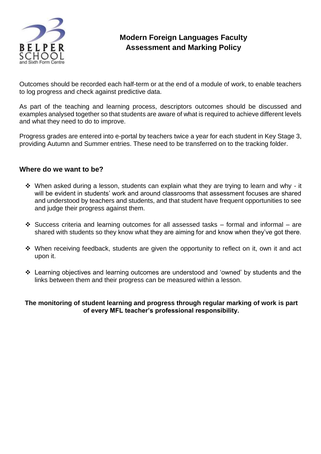

## **Modern Foreign Languages Faculty Assessment and Marking Policy**

Outcomes should be recorded each half-term or at the end of a module of work, to enable teachers to log progress and check against predictive data.

As part of the teaching and learning process, descriptors outcomes should be discussed and examples analysed together so that students are aware of what is required to achieve different levels and what they need to do to improve.

Progress grades are entered into e-portal by teachers twice a year for each student in Key Stage 3, providing Autumn and Summer entries. These need to be transferred on to the tracking folder.

#### **Where do we want to be?**

- When asked during a lesson, students can explain what they are trying to learn and why it will be evident in students' work and around classrooms that assessment focuses are shared and understood by teachers and students, and that student have frequent opportunities to see and judge their progress against them.
- $\div$  Success criteria and learning outcomes for all assessed tasks formal and informal are shared with students so they know what they are aiming for and know when they've got there.
- When receiving feedback, students are given the opportunity to reflect on it, own it and act upon it.
- Learning objectives and learning outcomes are understood and 'owned' by students and the links between them and their progress can be measured within a lesson.

#### **The monitoring of student learning and progress through regular marking of work is part of every MFL teacher's professional responsibility.**